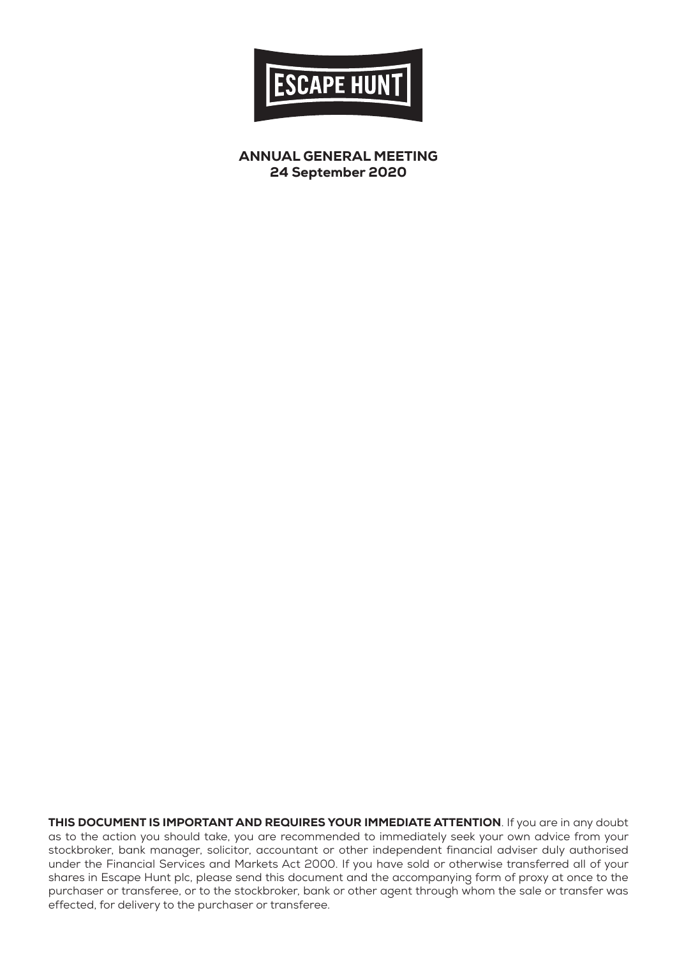

ANNUAL GENERAL MEETING 24 September 2020

THIS DOCUMENT IS IMPORTANT AND REQUIRES YOUR IMMEDIATE ATTENTION. If you are in any doubt as to the action you should take, you are recommended to immediately seek your own advice from your stockbroker, bank manager, solicitor, accountant or other independent financial adviser duly authorised under the Financial Services and Markets Act 2000. If you have sold or otherwise transferred all of your shares in Escape Hunt plc, please send this document and the accompanying form of proxy at once to the purchaser or transferee, or to the stockbroker, bank or other agent through whom the sale or transfer was effected, for delivery to the purchaser or transferee.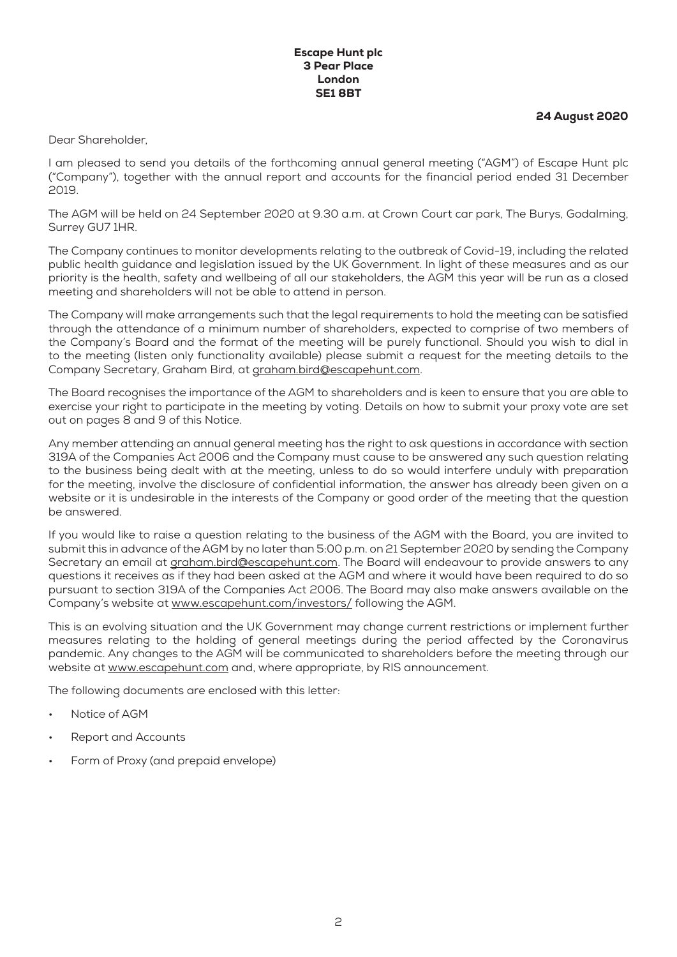#### Escape Hunt plc 3 Pear Place London SE1 8BT

24 August 2020

Dear Shareholder,

I am pleased to send you details of the forthcoming annual general meeting ("AGM") of Escape Hunt plc ("Company"), together with the annual report and accounts for the financial period ended 31 December 2019.

The AGM will be held on 24 September 2020 at 9.30 a.m. at Crown Court car park, The Burys, Godalming, Surrey GU7 1HR.

The Company continues to monitor developments relating to the outbreak of Covid-19, including the related public health guidance and legislation issued by the UK Government. In light of these measures and as our priority is the health, safety and wellbeing of all our stakeholders, the AGM this year will be run as a closed meeting and shareholders will not be able to attend in person.

The Company will make arrangements such that the legal requirements to hold the meeting can be satisfied through the attendance of a minimum number of shareholders, expected to comprise of two members of the Company's Board and the format of the meeting will be purely functional. Should you wish to dial in to the meeting (listen only functionality available) please submit a request for the meeting details to the Company Secretary, Graham Bird, at graham.bird@escapehunt.com.

The Board recognises the importance of the AGM to shareholders and is keen to ensure that you are able to exercise your right to participate in the meeting by voting. Details on how to submit your proxy vote are set out on pages 8 and 9 of this Notice.

Any member attending an annual general meeting has the right to ask questions in accordance with section 319A of the Companies Act 2006 and the Company must cause to be answered any such question relating to the business being dealt with at the meeting, unless to do so would interfere unduly with preparation for the meeting, involve the disclosure of confidential information, the answer has already been given on a website or it is undesirable in the interests of the Company or good order of the meeting that the question be answered.

If you would like to raise a question relating to the business of the AGM with the Board, you are invited to submit this in advance of the AGM by no later than 5:00 p.m. on 21 September 2020 by sending the Company Secretary an email at graham.bird@escapehunt.com. The Board will endeavour to provide answers to any questions it receives as if they had been asked at the AGM and where it would have been required to do so pursuant to section 319A of the Companies Act 2006. The Board may also make answers available on the Company's website at www.escapehunt.com/investors/ following the AGM.

This is an evolving situation and the UK Government may change current restrictions or implement further measures relating to the holding of general meetings during the period affected by the Coronavirus pandemic. Any changes to the AGM will be communicated to shareholders before the meeting through our website at www.escapehunt.com and, where appropriate, by RIS announcement.

The following documents are enclosed with this letter:

- Notice of AGM
- Report and Accounts
- Form of Proxy (and prepaid envelope)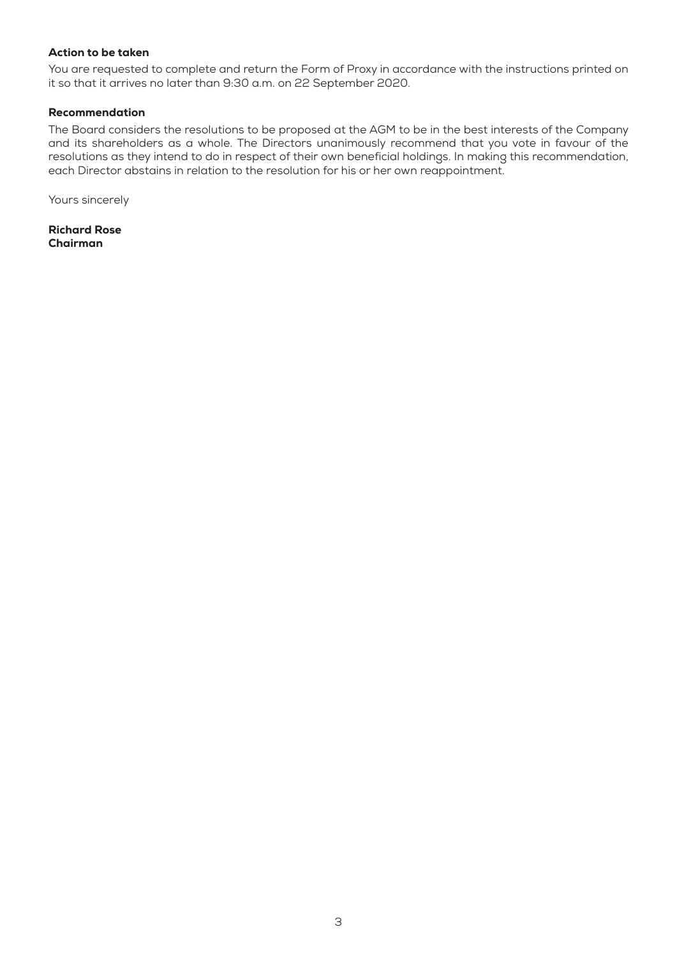#### Action to be taken

You are requested to complete and return the Form of Proxy in accordance with the instructions printed on it so that it arrives no later than 9:30 a.m. on 22 September 2020.

## Recommendation

The Board considers the resolutions to be proposed at the AGM to be in the best interests of the Company and its shareholders as a whole. The Directors unanimously recommend that you vote in favour of the resolutions as they intend to do in respect of their own beneficial holdings. In making this recommendation, each Director abstains in relation to the resolution for his or her own reappointment.

Yours sincerely

Richard Rose Chairman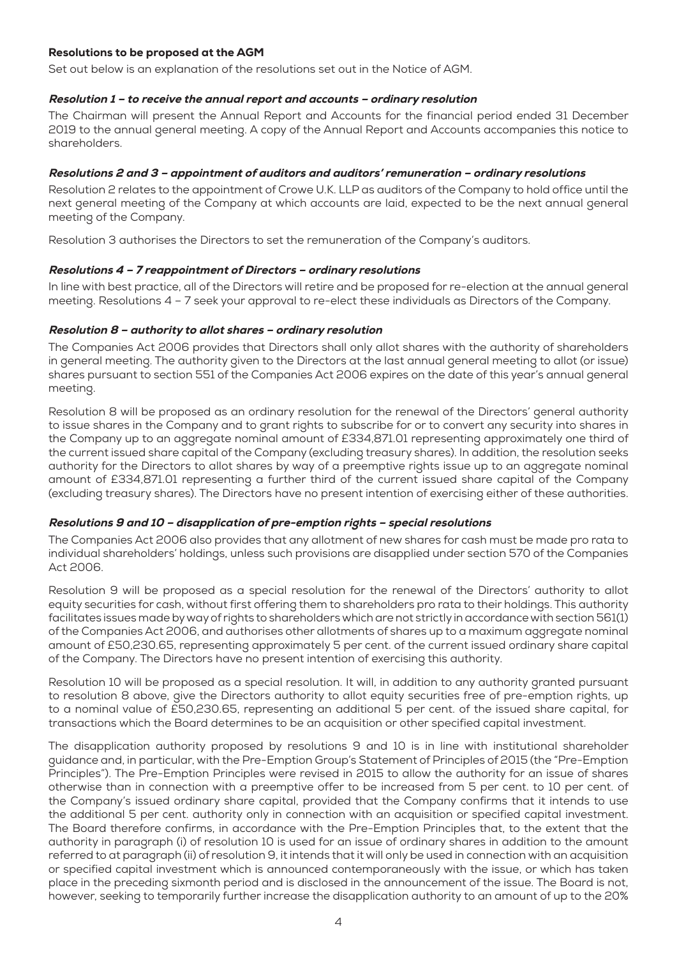## Resolutions to be proposed at the AGM

Set out below is an explanation of the resolutions set out in the Notice of AGM.

### Resolution 1 – to receive the annual report and accounts – ordinary resolution

The Chairman will present the Annual Report and Accounts for the financial period ended 31 December 2019 to the annual general meeting. A copy of the Annual Report and Accounts accompanies this notice to shareholders.

## Resolutions 2 and 3 – appointment of auditors and auditors' remuneration – ordinary resolutions

Resolution 2 relates to the appointment of Crowe U.K. LLP as auditors of the Company to hold office until the next general meeting of the Company at which accounts are laid, expected to be the next annual general meeting of the Company.

Resolution 3 authorises the Directors to set the remuneration of the Company's auditors.

#### Resolutions 4 – 7 reappointment of Directors – ordinary resolutions

In line with best practice, all of the Directors will retire and be proposed for re-election at the annual general meeting. Resolutions 4 – 7 seek your approval to re-elect these individuals as Directors of the Company.

#### Resolution 8 – authority to allot shares – ordinary resolution

The Companies Act 2006 provides that Directors shall only allot shares with the authority of shareholders in general meeting. The authority given to the Directors at the last annual general meeting to allot (or issue) shares pursuant to section 551 of the Companies Act 2006 expires on the date of this year's annual general meeting.

Resolution 8 will be proposed as an ordinary resolution for the renewal of the Directors' general authority to issue shares in the Company and to grant rights to subscribe for or to convert any security into shares in the Company up to an aggregate nominal amount of £334,871.01 representing approximately one third of the current issued share capital of the Company (excluding treasury shares). In addition, the resolution seeks authority for the Directors to allot shares by way of a preemptive rights issue up to an aggregate nominal amount of £334,871.01 representing a further third of the current issued share capital of the Company (excluding treasury shares). The Directors have no present intention of exercising either of these authorities.

## Resolutions 9 and 10 – disapplication of pre-emption rights – special resolutions

The Companies Act 2006 also provides that any allotment of new shares for cash must be made pro rata to individual shareholders' holdings, unless such provisions are disapplied under section 570 of the Companies Act 2006.

Resolution 9 will be proposed as a special resolution for the renewal of the Directors' authority to allot equity securities for cash, without first offering them to shareholders pro rata to their holdings. This authority facilitates issues made by way of rights to shareholders which are not strictly in accordance with section 561(1) of the Companies Act 2006, and authorises other allotments of shares up to a maximum aggregate nominal amount of £50,230.65, representing approximately 5 per cent. of the current issued ordinary share capital of the Company. The Directors have no present intention of exercising this authority.

Resolution 10 will be proposed as a special resolution. It will, in addition to any authority granted pursuant to resolution 8 above, give the Directors authority to allot equity securities free of pre-emption rights, up to a nominal value of £50,230.65, representing an additional 5 per cent. of the issued share capital, for transactions which the Board determines to be an acquisition or other specified capital investment.

The disapplication authority proposed by resolutions 9 and 10 is in line with institutional shareholder guidance and, in particular, with the Pre-Emption Group's Statement of Principles of 2015 (the "Pre-Emption Principles"). The Pre-Emption Principles were revised in 2015 to allow the authority for an issue of shares otherwise than in connection with a preemptive offer to be increased from 5 per cent. to 10 per cent. of the Company's issued ordinary share capital, provided that the Company confirms that it intends to use the additional 5 per cent. authority only in connection with an acquisition or specified capital investment. The Board therefore confirms, in accordance with the Pre-Emption Principles that, to the extent that the authority in paragraph (i) of resolution 10 is used for an issue of ordinary shares in addition to the amount referred to at paragraph (ii) of resolution 9, it intends that it will only be used in connection with an acquisition or specified capital investment which is announced contemporaneously with the issue, or which has taken place in the preceding sixmonth period and is disclosed in the announcement of the issue. The Board is not, however, seeking to temporarily further increase the disapplication authority to an amount of up to the 20%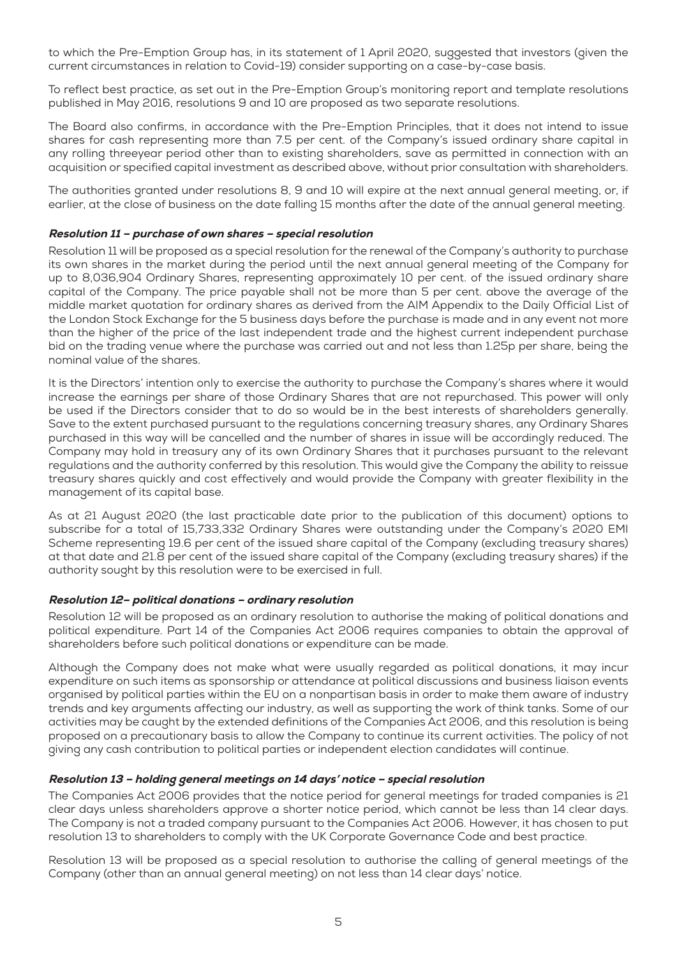to which the Pre-Emption Group has, in its statement of 1 April 2020, suggested that investors (given the current circumstances in relation to Covid-19) consider supporting on a case-by-case basis.

To reflect best practice, as set out in the Pre-Emption Group's monitoring report and template resolutions published in May 2016, resolutions 9 and 10 are proposed as two separate resolutions.

The Board also confirms, in accordance with the Pre-Emption Principles, that it does not intend to issue shares for cash representing more than 7.5 per cent. of the Company's issued ordinary share capital in any rolling threeyear period other than to existing shareholders, save as permitted in connection with an acquisition or specified capital investment as described above, without prior consultation with shareholders.

The authorities granted under resolutions 8, 9 and 10 will expire at the next annual general meeting, or, if earlier, at the close of business on the date falling 15 months after the date of the annual general meeting.

### Resolution 11 – purchase of own shares – special resolution

Resolution 11 will be proposed as a special resolution for the renewal of the Company's authority to purchase its own shares in the market during the period until the next annual general meeting of the Company for up to 8,036,904 Ordinary Shares, representing approximately 10 per cent. of the issued ordinary share capital of the Company. The price payable shall not be more than 5 per cent. above the average of the middle market quotation for ordinary shares as derived from the AIM Appendix to the Daily Official List of the London Stock Exchange for the 5 business days before the purchase is made and in any event not more than the higher of the price of the last independent trade and the highest current independent purchase bid on the trading venue where the purchase was carried out and not less than 1.25p per share, being the nominal value of the shares.

It is the Directors' intention only to exercise the authority to purchase the Company's shares where it would increase the earnings per share of those Ordinary Shares that are not repurchased. This power will only be used if the Directors consider that to do so would be in the best interests of shareholders generally. Save to the extent purchased pursuant to the regulations concerning treasury shares, any Ordinary Shares purchased in this way will be cancelled and the number of shares in issue will be accordingly reduced. The Company may hold in treasury any of its own Ordinary Shares that it purchases pursuant to the relevant regulations and the authority conferred by this resolution. This would give the Company the ability to reissue treasury shares quickly and cost effectively and would provide the Company with greater flexibility in the management of its capital base.

As at 21 August 2020 (the last practicable date prior to the publication of this document) options to subscribe for a total of 15,733,332 Ordinary Shares were outstanding under the Company's 2020 EMI Scheme representing 19.6 per cent of the issued share capital of the Company (excluding treasury shares) at that date and 21.8 per cent of the issued share capital of the Company (excluding treasury shares) if the authority sought by this resolution were to be exercised in full.

## Resolution 12– political donations – ordinary resolution

Resolution 12 will be proposed as an ordinary resolution to authorise the making of political donations and political expenditure. Part 14 of the Companies Act 2006 requires companies to obtain the approval of shareholders before such political donations or expenditure can be made.

Although the Company does not make what were usually regarded as political donations, it may incur expenditure on such items as sponsorship or attendance at political discussions and business liaison events organised by political parties within the EU on a nonpartisan basis in order to make them aware of industry trends and key arguments affecting our industry, as well as supporting the work of think tanks. Some of our activities may be caught by the extended definitions of the Companies Act 2006, and this resolution is being proposed on a precautionary basis to allow the Company to continue its current activities. The policy of not giving any cash contribution to political parties or independent election candidates will continue.

## Resolution 13 – holding general meetings on 14 days' notice – special resolution

The Companies Act 2006 provides that the notice period for general meetings for traded companies is 21 clear days unless shareholders approve a shorter notice period, which cannot be less than 14 clear days. The Company is not a traded company pursuant to the Companies Act 2006. However, it has chosen to put resolution 13 to shareholders to comply with the UK Corporate Governance Code and best practice.

Resolution 13 will be proposed as a special resolution to authorise the calling of general meetings of the Company (other than an annual general meeting) on not less than 14 clear days' notice.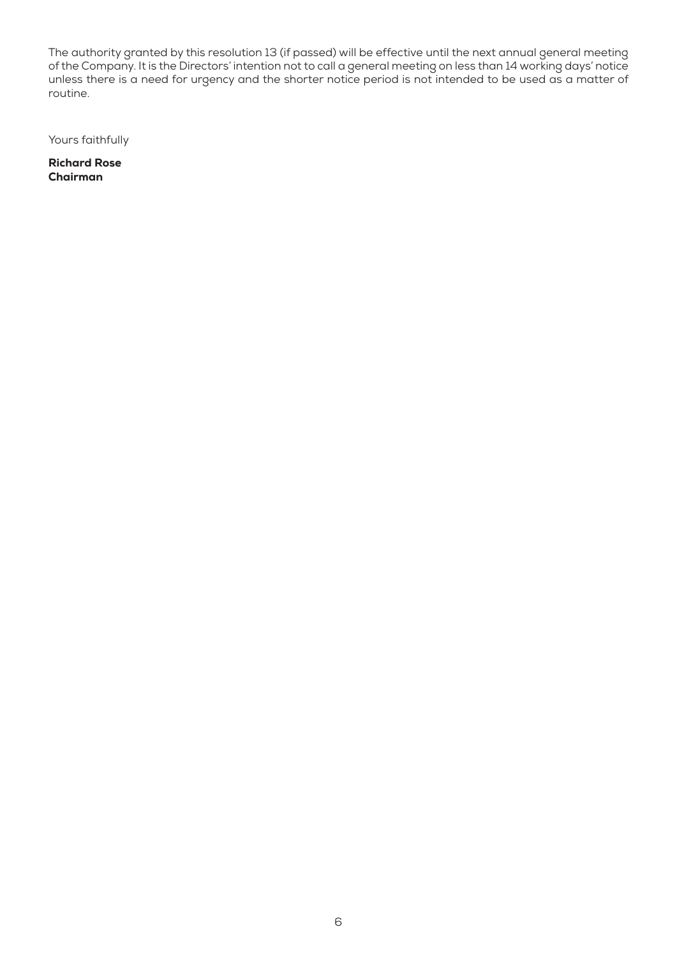The authority granted by this resolution 13 (if passed) will be effective until the next annual general meeting of the Company. It is the Directors' intention not to call a general meeting on less than 14 working days' notice unless there is a need for urgency and the shorter notice period is not intended to be used as a matter of routine.

Yours faithfully

Richard Rose Chairman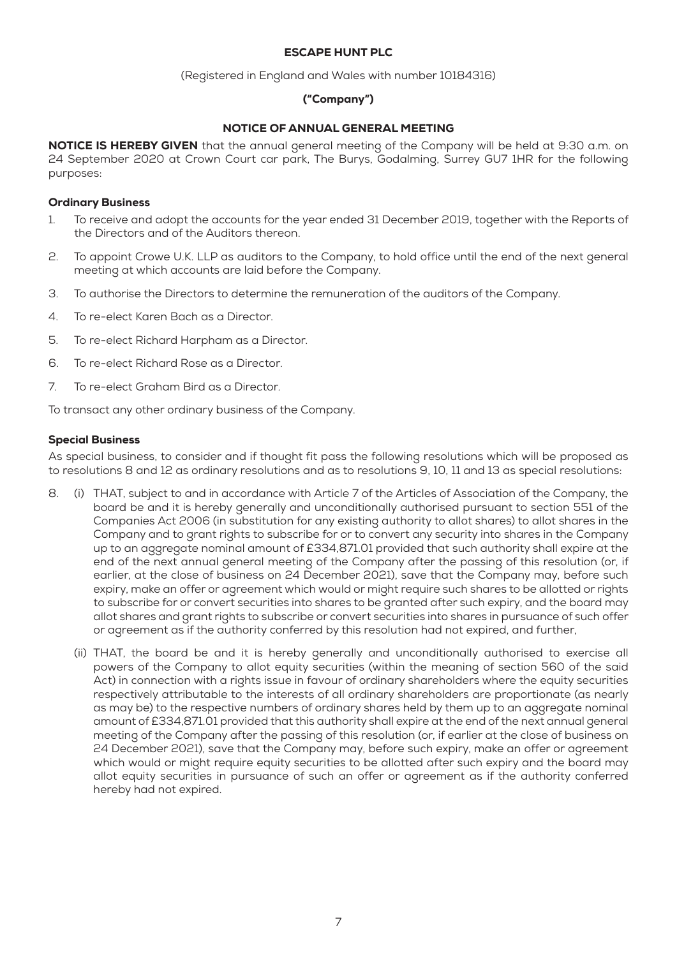## ESCAPE HUNT PLC

(Registered in England and Wales with number 10184316)

# ("Company")

## NOTICE OF ANNUAL GENERAL MEETING

NOTICE IS HEREBY GIVEN that the annual general meeting of the Company will be held at 9:30 a.m. on 24 September 2020 at Crown Court car park, The Burys, Godalming, Surrey GU7 1HR for the following purposes:

## Ordinary Business

- 1. To receive and adopt the accounts for the year ended 31 December 2019, together with the Reports of the Directors and of the Auditors thereon.
- 2. To appoint Crowe U.K. LLP as auditors to the Company, to hold office until the end of the next general meeting at which accounts are laid before the Company.
- 3. To authorise the Directors to determine the remuneration of the auditors of the Company.
- 4. To re-elect Karen Bach as a Director.
- 5. To re-elect Richard Harpham as a Director.
- 6. To re-elect Richard Rose as a Director.
- 7. To re-elect Graham Bird as a Director.

To transact any other ordinary business of the Company.

#### Special Business

As special business, to consider and if thought fit pass the following resolutions which will be proposed as to resolutions 8 and 12 as ordinary resolutions and as to resolutions 9, 10, 11 and 13 as special resolutions:

- 8. (i) THAT, subject to and in accordance with Article 7 of the Articles of Association of the Company, the board be and it is hereby generally and unconditionally authorised pursuant to section 551 of the Companies Act 2006 (in substitution for any existing authority to allot shares) to allot shares in the Company and to grant rights to subscribe for or to convert any security into shares in the Company up to an aggregate nominal amount of £334,871.01 provided that such authority shall expire at the end of the next annual general meeting of the Company after the passing of this resolution (or, if earlier, at the close of business on 24 December 2021), save that the Company may, before such expiry, make an offer or agreement which would or might require such shares to be allotted or rights to subscribe for or convert securities into shares to be granted after such expiry, and the board may allot shares and grant rights to subscribe or convert securities into shares in pursuance of such offer or agreement as if the authority conferred by this resolution had not expired, and further,
	- (ii) THAT, the board be and it is hereby generally and unconditionally authorised to exercise all powers of the Company to allot equity securities (within the meaning of section 560 of the said Act) in connection with a rights issue in favour of ordinary shareholders where the equity securities respectively attributable to the interests of all ordinary shareholders are proportionate (as nearly as may be) to the respective numbers of ordinary shares held by them up to an aggregate nominal amount of £334,871.01 provided that this authority shall expire at the end of the next annual general meeting of the Company after the passing of this resolution (or, if earlier at the close of business on 24 December 2021), save that the Company may, before such expiry, make an offer or agreement which would or might require equity securities to be allotted after such expiry and the board may allot equity securities in pursuance of such an offer or agreement as if the authority conferred hereby had not expired.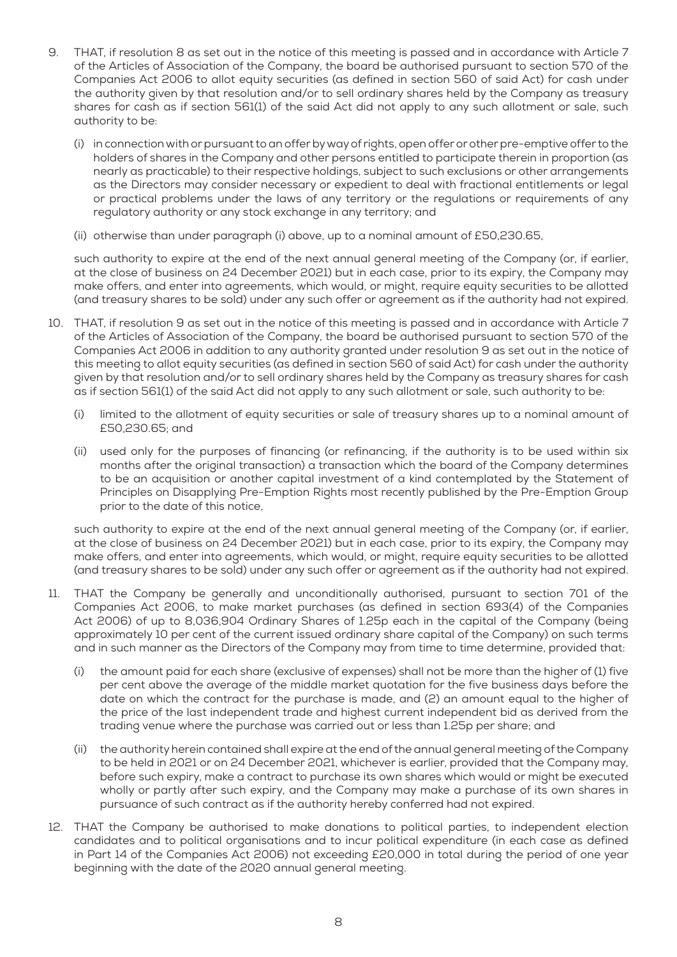- 9. THAT, if resolution 8 as set out in the notice of this meeting is passed and in accordance with Article 7 of the Articles of Association of the Company, the board be authorised pursuant to section 570 of the Companies Act 2006 to allot equity securities (as defined in section 560 of said Act) for cash under the authority given by that resolution and/or to sell ordinary shares held by the Company as treasury shares for cash as if section 561(1) of the said Act did not apply to any such allotment or sale, such authority to be:
	- (i) in connection with or pursuant to an offer by way of rights, open offer or other pre-emptive offer to the holders of shares in the Company and other persons entitled to participate therein in proportion (as nearly as practicable) to their respective holdings, subject to such exclusions or other arrangements as the Directors may consider necessary or expedient to deal with fractional entitlements or legal or practical problems under the laws of any territory or the regulations or requirements of any regulatory authority or any stock exchange in any territory; and
	- (ii) otherwise than under paragraph (i) above, up to a nominal amount of £50,230.65,

such authority to expire at the end of the next annual general meeting of the Company (or, if earlier, at the close of business on 24 December 2021) but in each case, prior to its expiry, the Company may make offers, and enter into agreements, which would, or might, require equity securities to be allotted (and treasury shares to be sold) under any such offer or agreement as if the authority had not expired.

- 10. THAT, if resolution 9 as set out in the notice of this meeting is passed and in accordance with Article 7 of the Articles of Association of the Company, the board be authorised pursuant to section 570 of the Companies Act 2006 in addition to any authority granted under resolution 9 as set out in the notice of this meeting to allot equity securities (as defined in section 560 of said Act) for cash under the authority given by that resolution and/or to sell ordinary shares held by the Company as treasury shares for cash as if section 561(1) of the said Act did not apply to any such allotment or sale, such authority to be:
	- (i) limited to the allotment of equity securities or sale of treasury shares up to a nominal amount of £50,230.65; and
	- (ii) used only for the purposes of financing (or refinancing, if the authority is to be used within six months after the original transaction) a transaction which the board of the Company determines to be an acquisition or another capital investment of a kind contemplated by the Statement of Principles on Disapplying Pre-Emption Rights most recently published by the Pre-Emption Group prior to the date of this notice,

such authority to expire at the end of the next annual general meeting of the Company (or, if earlier, at the close of business on 24 December 2021) but in each case, prior to its expiry, the Company may make offers, and enter into agreements, which would, or might, require equity securities to be allotted (and treasury shares to be sold) under any such offer or agreement as if the authority had not expired.

- 11. THAT the Company be generally and unconditionally authorised, pursuant to section 701 of the Companies Act 2006, to make market purchases (as defined in section 693(4) of the Companies Act 2006) of up to 8,036,904 Ordinary Shares of 1.25p each in the capital of the Company (being approximately 10 per cent of the current issued ordinary share capital of the Company) on such terms and in such manner as the Directors of the Company may from time to time determine, provided that:
	- (i) the amount paid for each share (exclusive of expenses) shall not be more than the higher of (1) five per cent above the average of the middle market quotation for the five business days before the date on which the contract for the purchase is made, and (2) an amount equal to the higher of the price of the last independent trade and highest current independent bid as derived from the trading venue where the purchase was carried out or less than 1.25p per share; and
	- (ii) the authority herein contained shall expire at the end of the annual general meeting of the Company to be held in 2021 or on 24 December 2021, whichever is earlier, provided that the Company may, before such expiry, make a contract to purchase its own shares which would or might be executed wholly or partly after such expiry, and the Company may make a purchase of its own shares in pursuance of such contract as if the authority hereby conferred had not expired.
- 12. THAT the Company be authorised to make donations to political parties, to independent election candidates and to political organisations and to incur political expenditure (in each case as defined in Part 14 of the Companies Act 2006) not exceeding £20,000 in total during the period of one year beginning with the date of the 2020 annual general meeting.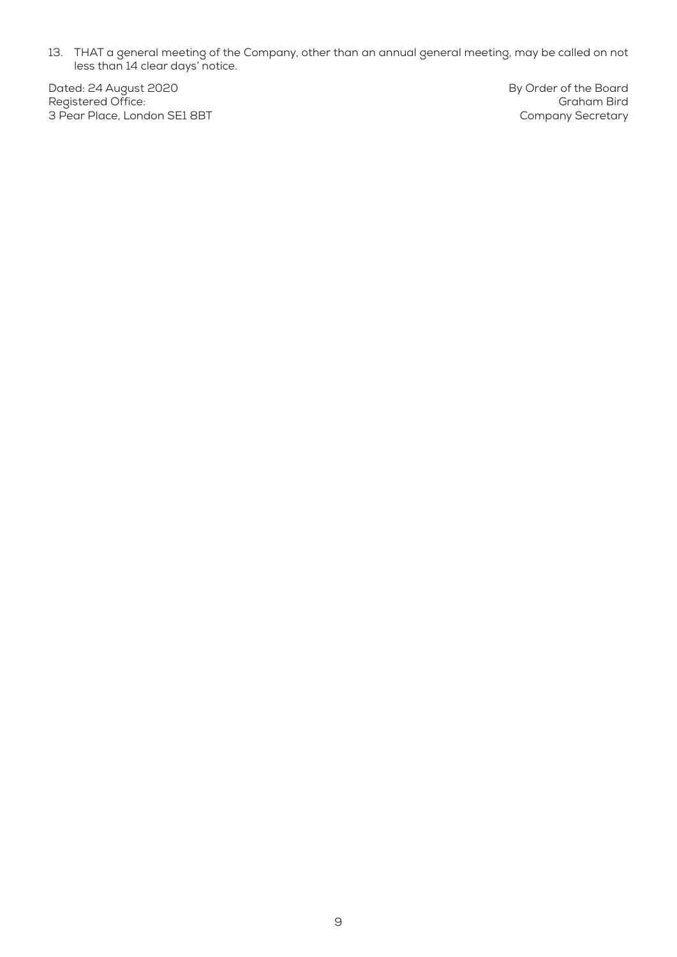13. THAT a general meeting of the Company, other than an annual general meeting, may be called on not less than 14 clear days' notice.

Dated: 24 August 2020 Registered Office: 3 Pear Place, London SE1 8BT By Order of the Board Graham Bird Company Secretary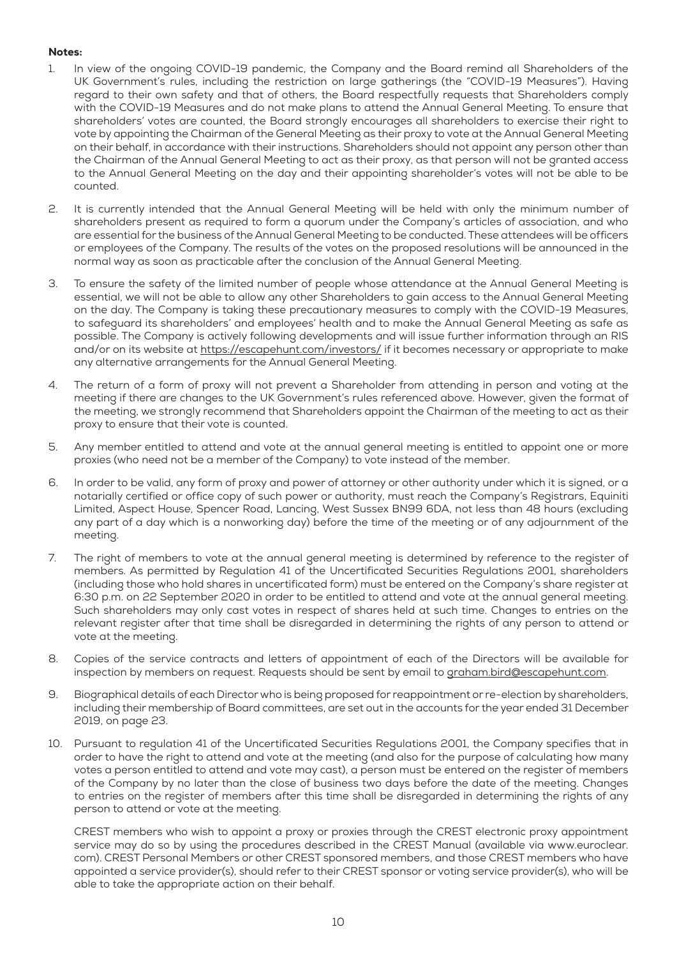## Notes:

- 1. In view of the ongoing COVID-19 pandemic, the Company and the Board remind all Shareholders of the UK Government's rules, including the restriction on large gatherings (the "COVID-19 Measures"). Having regard to their own safety and that of others, the Board respectfully requests that Shareholders comply with the COVID-19 Measures and do not make plans to attend the Annual General Meeting. To ensure that shareholders' votes are counted, the Board strongly encourages all shareholders to exercise their right to vote by appointing the Chairman of the General Meeting as their proxy to vote at the Annual General Meeting on their behalf, in accordance with their instructions. Shareholders should not appoint any person other than the Chairman of the Annual General Meeting to act as their proxy, as that person will not be granted access to the Annual General Meeting on the day and their appointing shareholder's votes will not be able to be counted.
- 2. It is currently intended that the Annual General Meeting will be held with only the minimum number of shareholders present as required to form a quorum under the Company's articles of association, and who are essential for the business of the Annual General Meeting to be conducted. These attendees will be officers or employees of the Company. The results of the votes on the proposed resolutions will be announced in the normal way as soon as practicable after the conclusion of the Annual General Meeting.
- 3. To ensure the safety of the limited number of people whose attendance at the Annual General Meeting is essential, we will not be able to allow any other Shareholders to gain access to the Annual General Meeting on the day. The Company is taking these precautionary measures to comply with the COVID-19 Measures, to safeguard its shareholders' and employees' health and to make the Annual General Meeting as safe as possible. The Company is actively following developments and will issue further information through an RIS and/or on its website at https://escapehunt.com/investors/ if it becomes necessary or appropriate to make any alternative arrangements for the Annual General Meeting.
- 4. The return of a form of proxy will not prevent a Shareholder from attending in person and voting at the meeting if there are changes to the UK Government's rules referenced above. However, given the format of the meeting, we strongly recommend that Shareholders appoint the Chairman of the meeting to act as their proxy to ensure that their vote is counted.
- 5. Any member entitled to attend and vote at the annual general meeting is entitled to appoint one or more proxies (who need not be a member of the Company) to vote instead of the member.
- 6. In order to be valid, any form of proxy and power of attorney or other authority under which it is signed, or a notarially certified or office copy of such power or authority, must reach the Company's Registrars, Equiniti Limited, Aspect House, Spencer Road, Lancing, West Sussex BN99 6DA, not less than 48 hours (excluding any part of a day which is a nonworking day) before the time of the meeting or of any adjournment of the meeting.
- 7. The right of members to vote at the annual general meeting is determined by reference to the register of members. As permitted by Regulation 41 of the Uncertificated Securities Regulations 2001, shareholders (including those who hold shares in uncertificated form) must be entered on the Company's share register at 6:30 p.m. on 22 September 2020 in order to be entitled to attend and vote at the annual general meeting. Such shareholders may only cast votes in respect of shares held at such time. Changes to entries on the relevant register after that time shall be disregarded in determining the rights of any person to attend or vote at the meeting.
- 8. Copies of the service contracts and letters of appointment of each of the Directors will be available for inspection by members on request. Requests should be sent by email to graham.bird@escapehunt.com.
- 9. Biographical details of each Director who is being proposed for reappointment or re-election by shareholders, including their membership of Board committees, are set out in the accounts for the year ended 31 December 2019, on page 23.
- 10. Pursuant to regulation 41 of the Uncertificated Securities Regulations 2001, the Company specifies that in order to have the right to attend and vote at the meeting (and also for the purpose of calculating how many votes a person entitled to attend and vote may cast), a person must be entered on the register of members of the Company by no later than the close of business two days before the date of the meeting. Changes to entries on the register of members after this time shall be disregarded in determining the rights of any person to attend or vote at the meeting.

CREST members who wish to appoint a proxy or proxies through the CREST electronic proxy appointment service may do so by using the procedures described in the CREST Manual (available via www.euroclear. com). CREST Personal Members or other CREST sponsored members, and those CREST members who have appointed a service provider(s), should refer to their CREST sponsor or voting service provider(s), who will be able to take the appropriate action on their behalf.